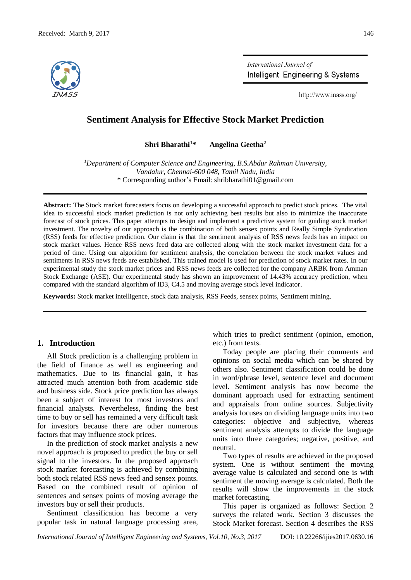

International Journal of Intelligent Engineering & Systems

http://www.inass.org/

# **Sentiment Analysis for Effective Stock Market Prediction**

**Shri Bharathi<sup>1</sup>\* Angelina Geetha<sup>2</sup>**

*<sup>1</sup>Department of Computer Science and Engineering, B.S.Abdur Rahman University, Vandalur, Chennai-600 048, Tamil Nadu, India* \* Corresponding author's Email: shribharathi01@gmail.com

**Abstract:** The Stock market forecasters focus on developing a successful approach to predict stock prices. The vital idea to successful stock market prediction is not only achieving best results but also to minimize the inaccurate forecast of stock prices. This paper attempts to design and implement a predictive system for guiding stock market investment. The novelty of our approach is the combination of both sensex points and Really Simple Syndication (RSS) feeds for effective prediction. Our claim is that the sentiment analysis of RSS news feeds has an impact on stock market values. Hence RSS news feed data are collected along with the stock market investment data for a period of time. Using our algorithm for sentiment analysis, the correlation between the stock market values and sentiments in RSS news feeds are established. This trained model is used for prediction of stock market rates. In our experimental study the stock market prices and RSS news feeds are collected for the company ARBK from Amman Stock Exchange (ASE). Our experimental study has shown an improvement of 14.43% accuracy prediction, when compared with the standard algorithm of ID3, C4.5 and moving average stock level indicator.

**Keywords:** Stock market intelligence, stock data analysis, RSS Feeds, sensex points, Sentiment mining.

# **1. Introduction**

All Stock prediction is a challenging problem in the field of finance as well as engineering and mathematics. Due to its financial gain, it has attracted much attention both from academic side and business side. Stock price prediction has always been a subject of interest for most investors and financial analysts. Nevertheless, finding the best time to buy or sell has remained a very difficult task for investors because there are other numerous factors that may influence stock prices.

In the prediction of stock market analysis a new novel approach is proposed to predict the buy or sell signal to the investors. In the proposed approach stock market forecasting is achieved by combining both stock related RSS news feed and sensex points. Based on the combined result of opinion of sentences and sensex points of moving average the investors buy or sell their products.

Sentiment classification has become a very popular task in natural language processing area, which tries to predict sentiment (opinion, emotion, etc.) from texts.

Today people are placing their comments and opinions on social media which can be shared by others also. Sentiment classification could be done in word/phrase level, sentence level and document level. Sentiment analysis has now become the dominant approach used for extracting sentiment and appraisals from online sources. Subjectivity analysis focuses on dividing language units into two categories: objective and subjective, whereas sentiment analysis attempts to divide the language units into three categories; negative, positive, and neutral.

Two types of results are achieved in the proposed system. One is without sentiment the moving average value is calculated and second one is with sentiment the moving average is calculated. Both the results will show the improvements in the stock market forecasting.

This paper is organized as follows: Section 2 surveys the related work. Section 3 discusses the Stock Market forecast. Section 4 describes the RSS

*International Journal of Intelligent Engineering and Systems, Vol.10, No.3, 2017* DOI: 10.22266/ijies2017.0630.16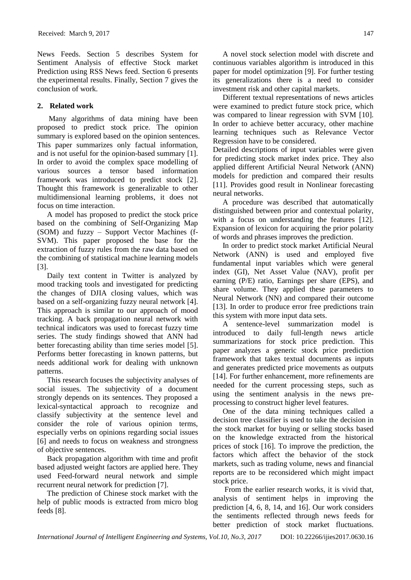News Feeds. Section 5 describes System for Sentiment Analysis of effective Stock market Prediction using RSS News feed. Section 6 presents the experimental results. Finally, Section 7 gives the conclusion of work.

# **2. Related work**

Many algorithms of data mining have been proposed to predict stock price. The opinion summary is explored based on the opinion sentences. This paper summarizes only factual information, and is not useful for the opinion-based summary [1]. In order to avoid the complex space modelling of various sources a tensor based information framework was introduced to predict stock [2]. Thought this framework is generalizable to other multidimensional learning problems, it does not focus on time interaction.

A model has proposed to predict the stock price based on the combining of Self-Organizing Map (SOM) and fuzzy – Support Vector Machines (f-SVM). This paper proposed the base for the extraction of fuzzy rules from the raw data based on the combining of statistical machine learning models [3].

Daily text content in Twitter is analyzed by mood tracking tools and investigated for predicting the changes of DJIA closing values, which was based on a self-organizing fuzzy neural network [4]. This approach is similar to our approach of mood tracking. A back propagation neural network with technical indicators was used to forecast fuzzy time series. The study findings showed that ANN had better forecasting ability than time series model [5]. Performs better forecasting in known patterns, but needs additional work for dealing with unknown patterns.

This research focuses the subjectivity analyses of social issues. The subjectivity of a document strongly depends on its sentences. They proposed a lexical-syntactical approach to recognize and classify subjectivity at the sentence level and consider the role of various opinion terms, especially verbs on opinions regarding social issues [6] and needs to focus on weakness and strongness of objective sentences.

Back propagation algorithm with time and profit based adjusted weight factors are applied here. They used Feed-forward neural network and simple recurrent neural network for prediction [7].

The prediction of Chinese stock market with the help of public moods is extracted from micro blog feeds [8].

A novel stock selection model with discrete and continuous variables algorithm is introduced in this paper for model optimization [9]. For further testing its generalizations there is a need to consider investment risk and other capital markets.

Different textual representations of news articles were examined to predict future stock price, which was compared to linear regression with SVM [10]. In order to achieve better accuracy, other machine learning techniques such as Relevance Vector Regression have to be considered.

Detailed descriptions of input variables were given for predicting stock market index price. They also applied different Artificial Neural Network (ANN) models for prediction and compared their results [11]. Provides good result in Nonlinear forecasting neural networks.

A procedure was described that automatically distinguished between prior and contextual polarity, with a focus on understanding the features [12]. Expansion of lexicon for acquiring the prior polarity of words and phrases improves the prediction.

In order to predict stock market Artificial Neural Network (ANN) is used and employed five fundamental input variables which were general index (GI), Net Asset Value (NAV), profit per earning (P/E) ratio, Earnings per share (EPS), and share volume. They applied these parameters to Neural Network (NN) and compared their outcome [13]. In order to produce error free predictions train this system with more input data sets.

A sentence-level summarization model is introduced to daily full-length news article summarizations for stock price prediction. This paper analyzes a generic stock price prediction framework that takes textual documents as inputs and generates predicted price movements as outputs [14]. For further enhancement, more refinements are needed for the current processing steps, such as using the sentiment analysis in the news preprocessing to construct higher level features.

One of the data mining techniques called a decision tree classifier is used to take the decision in the stock market for buying or selling stocks based on the knowledge extracted from the historical prices of stock [16]. To improve the prediction, the factors which affect the behavior of the stock markets, such as trading volume, news and financial reports are to be reconsidered which might impact stock price.

From the earlier research works, it is vivid that, analysis of sentiment helps in improving the prediction [4, 6, 8, 14, and 16]. Our work considers the sentiments reflected through news feeds for better prediction of stock market fluctuations.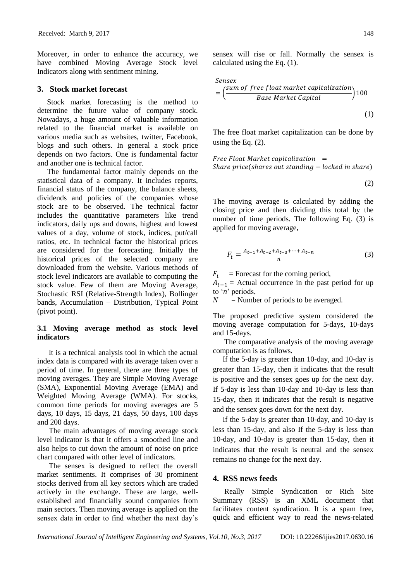Moreover, in order to enhance the accuracy, we have combined Moving Average Stock level Indicators along with sentiment mining.

# **3. Stock market forecast**

Stock market forecasting is the method to determine the future value of company stock. Nowadays, a huge amount of valuable information related to the financial market is available on various media such as websites, twitter, Facebook, blogs and such others. In general a stock price depends on two factors. One is fundamental factor and another one is technical factor.

The fundamental factor mainly depends on the statistical data of a company. It includes reports, financial status of the company, the balance sheets, dividends and policies of the companies whose stock are to be observed. The technical factor includes the quantitative parameters like trend indicators, daily ups and downs, highest and lowest values of a day, volume of stock, indices, put/call ratios, etc. In technical factor the historical prices are considered for the forecasting. Initially the historical prices of the selected company are downloaded from the website. Various methods of stock level indicators are available to computing the stock value. Few of them are Moving Average, Stochastic RSI (Relative-Strength Index), Bollinger bands, Accumulation – Distribution, Typical Point (pivot point).

# **3.1 Moving average method as stock level indicators**

It is a technical analysis tool in which the actual index data is compared with its average taken over a period of time. In general, there are three types of moving averages. They are Simple Moving Average (SMA), Exponential Moving Average (EMA) and Weighted Moving Average (WMA). For stocks, common time periods for moving averages are 5 days, 10 days, 15 days, 21 days, 50 days, 100 days and 200 days.

The main advantages of moving average stock level indicator is that it offers a smoothed line and also helps to cut down the amount of noise on price chart compared with other level of indicators.

The sensex is designed to reflect the overall market sentiments. It comprises of 30 prominent stocks derived from all key sectors which are traded actively in the exchange. These are large, wellestablished and financially sound companies from main sectors. Then moving average is applied on the sensex data in order to find whether the next day's sensex will rise or fall. Normally the sensex is calculated using the Eq. (1).

$$
Sensex
$$
  
=  $\left(\frac{sum\ of\ free\ float\ market\ capital}{Base\ Market\ Capital}\right)100$  (1)

The free float market capitalization can be done by using the Eq. (2).

 $Free$  Float Market capitalization = Share  $price(shares out standing - locked in share)$ 

$$
(2)
$$

The moving average is calculated by adding the closing price and then dividing this total by the number of time periods. The following Eq. (3) is applied for moving average,

$$
F_t = \frac{A_{t-1} + A_{t-2} + A_{t-3} + \dots + A_{t-n}}{n} \tag{3}
$$

 $F_t$  = Forecast for the coming period,

 $A_{t-1}$  = Actual occurrence in the past period for up to '*n*' periods,

 $N =$  Number of periods to be averaged.

The proposed predictive system considered the moving average computation for 5-days, 10-days and 15-days.

The comparative analysis of the moving average computation is as follows.

If the 5-day is greater than 10-day, and 10-day is greater than 15-day, then it indicates that the result is positive and the sensex goes up for the next day. If 5-day is less than 10-day and 10-day is less than 15-day, then it indicates that the result is negative and the sensex goes down for the next day.

If the 5-day is greater than 10-day, and 10-day is less than 15-day, and also If the 5-day is less than 10-day, and 10-day is greater than 15-day, then it indicates that the result is neutral and the sensex remains no change for the next day.

## **4. RSS news feeds**

Really Simple Syndication or Rich Site Summary (RSS) is an XML document that facilitates content syndication. It is a spam free, quick and efficient way to read the news-related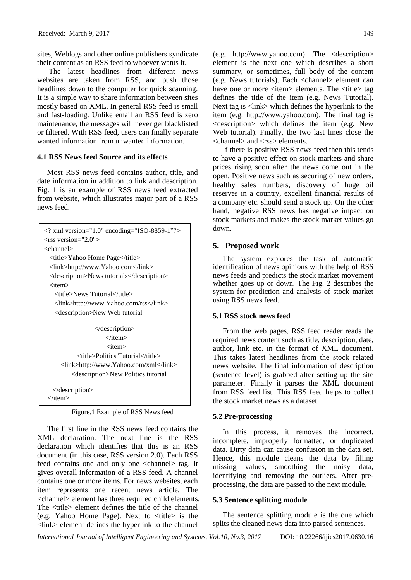sites, Weblogs and other online publishers syndicate their content as an RSS feed to whoever wants it.

The latest headlines from different news websites are taken from RSS, and push those headlines down to the computer for quick scanning. It is a simple way to share information between sites mostly based on XML. In general RSS feed is small and fast-loading. Unlike email an RSS feed is zero maintenance, the messages will never get blacklisted or filtered. With RSS feed, users can finally separate wanted information from unwanted information.

### **4.1 RSS News feed Source and its effects**

Most RSS news feed contains author, title, and date information in addition to link and description. Fig. 1 is an example of RSS news feed extracted from website, which illustrates major part of a RSS news feed.

| $\langle$ 2 xml version="1.0" encoding="ISO-8859-1"?><br>$\langle$ rss version="2.0"> |
|---------------------------------------------------------------------------------------|
| $<$ channel $>$                                                                       |
| <title>Yahoo Home Page</title>                                                        |
| <link/> http://www.Yahoo.com                                                          |
| <description>News tutorials</description>                                             |
| <item></item>                                                                         |
| <title>News Tutorial</title>                                                          |
| <link/> http://www.Yahoo.com/rss                                                      |
| <description>New Web tutorial</description>                                           |
|                                                                                       |
| $\triangle$ description $\triangleright$                                              |
|                                                                                       |
| <item></item>                                                                         |
| <title>Politics Tutorial</title>                                                      |
| <link/> http://www.Yahoo.com/xml                                                      |
| <description>New Politics tutorial</description>                                      |
|                                                                                       |
| $\triangle$ description $\triangleright$                                              |
| $\langle$ item $\rangle$                                                              |
|                                                                                       |

Figure.1 Example of RSS News feed

The first line in the RSS news feed contains the XML declaration. The next line is the RSS declaration which identifies that this is an RSS document (in this case, RSS version 2.0). Each RSS feed contains one and only one <channel> tag. It gives overall information of a RSS feed. A channel contains one or more items. For news websites, each item represents one recent news article. The <channel> element has three required child elements. The <title> element defines the title of the channel (e.g. Yahoo Home Page). Next to  $\lt$ title $>$  is the <link> element defines the hyperlink to the channel

(e.g. http://www.yahoo.com) .The <description> element is the next one which describes a short summary, or sometimes, full body of the content (e.g. News tutorials). Each <channel> element can have one or more <item> elements. The <title> tag defines the title of the item (e.g. News Tutorial). Next tag is <link> which defines the hyperlink to the item (e.g. http://www.yahoo.com). The final tag is <description> which defines the item (e.g. New Web tutorial). Finally, the two last lines close the <channel> and <rss> elements.

If there is positive RSS news feed then this tends to have a positive effect on stock markets and share prices rising soon after the news come out in the open. Positive news such as securing of new orders, healthy sales numbers, discovery of huge oil reserves in a country, excellent financial results of a company etc. should send a stock up. On the other hand, negative RSS news has negative impact on stock markets and makes the stock market values go down.

# **5. Proposed work**

The system explores the task of automatic identification of news opinions with the help of RSS news feeds and predicts the stock market movement whether goes up or down. The Fig. 2 describes the system for prediction and analysis of stock market using RSS news feed.

### **5.1 RSS stock news feed**

From the web pages, RSS feed reader reads the required news content such as title, description, date, author, link etc. in the format of XML document. This takes latest headlines from the stock related news website. The final information of description (sentence level) is grabbed after setting up the site parameter. Finally it parses the XML document from RSS feed list. This RSS feed helps to collect the stock market news as a dataset.

#### **5.2 Pre-processing**

In this process, it removes the incorrect, incomplete, improperly formatted, or duplicated data. Dirty data can cause confusion in the data set. Hence, this module cleans the data by filling missing values, smoothing the noisy data, identifying and removing the outliers. After preprocessing, the data are passed to the next module.

### **5.3 Sentence splitting module**

The sentence splitting module is the one which splits the cleaned news data into parsed sentences.

*International Journal of Intelligent Engineering and Systems, Vol.10, No.3, 2017* DOI: 10.22266/ijies2017.0630.16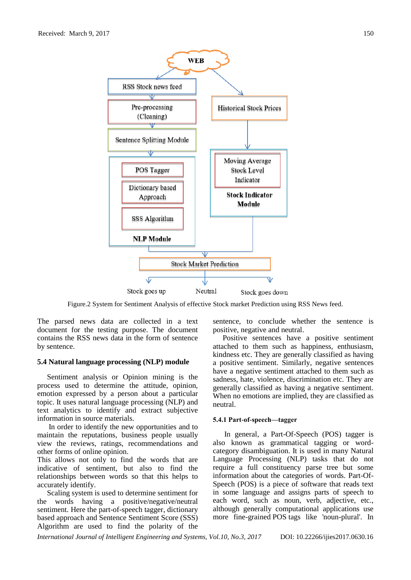

Figure.2 System for Sentiment Analysis of effective Stock market Prediction using RSS News feed.

The parsed news data are collected in a text document for the testing purpose. The document contains the RSS news data in the form of sentence by sentence.

### **5.4 Natural language processing (NLP) module**

Sentiment analysis or Opinion mining is the process used to determine the attitude, opinion, emotion expressed by a person about a particular topic. It uses natural language processing (NLP) and text analytics to identify and extract subjective information in source materials.

In order to identify the new opportunities and to maintain the reputations, business people usually view the reviews, ratings, recommendations and other forms of online opinion.

This allows not only to find the words that are indicative of sentiment, but also to find the relationships between words so that this helps to accurately identify.

Scaling system is used to determine sentiment for the words having a positive/negative/neutral sentiment. Here the part-of-speech tagger, dictionary based approach and Sentence Sentiment Score (SSS) Algorithm are used to find the polarity of the

sentence, to conclude whether the sentence is positive, negative and neutral.

Positive sentences have a positive sentiment attached to them such as happiness, enthusiasm, kindness etc. They are generally classified as having a positive sentiment. Similarly, negative sentences have a negative sentiment attached to them such as sadness, hate, violence, discrimination etc. They are generally classified as having a negative sentiment. When no emotions are implied, they are classified as neutral.

#### **5.4.1 Part-of-speech—tagger**

In general, a Part-Of-Speech (POS) tagger is also known as grammatical tagging or wordcategory disambiguation. It is used in many Natural Language Processing (NLP) tasks that do not require a full constituency parse tree but some information about the categories of words. Part-Of-Speech (POS) is a piece of software that reads text in some language and assigns parts of speech to each word, such as noun, verb, adjective, etc., although generally computational applications use more fine-grained POS tags like 'noun-plural'. In

*International Journal of Intelligent Engineering and Systems, Vol.10, No.3, 2017* DOI: 10.22266/ijies2017.0630.16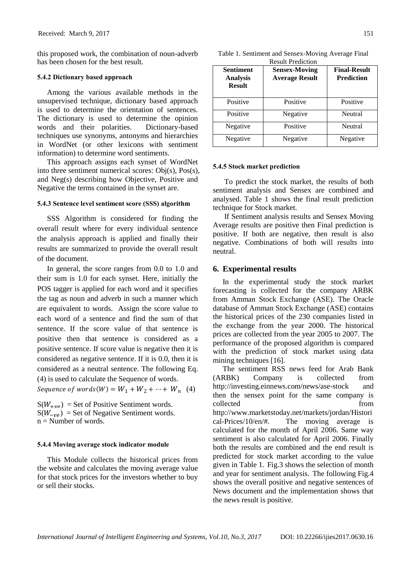this proposed work, the combination of noun-adverb has been chosen for the best result.

#### **5.4.2 Dictionary based approach**

Among the various available methods in the unsupervised technique, dictionary based approach is used to determine the orientation of sentences. The dictionary is used to determine the opinion words and their polarities. Dictionary-based techniques use synonyms, antonyms and hierarchies in WordNet (or other lexicons with sentiment information) to determine word sentiments.

This approach assigns each synset of WordNet into three sentiment numerical scores: Obj(s), Pos(s), and Neg(s) describing how Objective, Positive and Negative the terms contained in the synset are.

#### **5.4.3 Sentence level sentiment score (SSS) algorithm**

SSS Algorithm is considered for finding the overall result where for every individual sentence the analysis approach is applied and finally their results are summarized to provide the overall result of the document.

In general, the score ranges from 0.0 to 1.0 and their sum is 1.0 for each synset. Here, initially the POS tagger is applied for each word and it specifies the tag as noun and adverb in such a manner which are equivalent to words. Assign the score value to each word of a sentence and find the sum of that sentence. If the score value of that sentence is positive then that sentence is considered as a positive sentence. If score value is negative then it is considered as negative sentence. If it is 0.0, then it is considered as a neutral sentence. The following Eq. (4) is used to calculate the Sequence of words.

Sequence of words  $(W) = W_1 + W_2 + \cdots + W_n$  (4)

 $S(W_{+p\rho})$  = Set of Positive Sentiment words.  $S(W_{-\nu\rho})$  = Set of Negative Sentiment words.  $n =$  Number of words.

#### **5.4.4 Moving average stock indicator module**

This Module collects the historical prices from the website and calculates the moving average value for that stock prices for the investors whether to buy or sell their stocks.

| Table 1. Sentiment and Sensex-Moving Average Final |  |
|----------------------------------------------------|--|
| D., 1, D., 1', 1',                                 |  |

| <b>Sentiment</b><br><b>Analysis</b><br><b>Result</b> | <b>Sensex-Moving</b><br><b>Average Result</b> | <b>Final-Result</b><br><b>Prediction</b> |
|------------------------------------------------------|-----------------------------------------------|------------------------------------------|
| Positive                                             | Positive                                      | Positive                                 |
| Positive                                             | Negative                                      | Neutral                                  |
| Negative                                             | Positive                                      | Neutral                                  |
| Negative                                             | Negative                                      | Negative                                 |

#### **5.4.5 Stock market prediction**

To predict the stock market, the results of both sentiment analysis and Sensex are combined and analysed. Table 1 shows the final result prediction technique for Stock market.

If Sentiment analysis results and Sensex Moving Average results are positive then Final prediction is positive. If both are negative, then result is also negative. Combinations of both will results into neutral.

### **6. Experimental results**

In the experimental study the stock market forecasting is collected for the company ARBK from Amman Stock Exchange (ASE). The Oracle database of Amman Stock Exchange (ASE) contains the historical prices of the 230 companies listed in the exchange from the year 2000. The historical prices are collected from the year 2005 to 2007. The performance of the proposed algorithm is compared with the prediction of stock market using data mining techniques [16].

The sentiment RSS news feed for Arab Bank (ARBK) Company is collected from http://investing.einnews.com/news/ase-stock and then the sensex point for the same company is collected from http://www.marketstoday.net/markets/jordan/Histori cal-Prices/10/en/#. The moving average is calculated for the month of April 2006. Same way sentiment is also calculated for April 2006. Finally both the results are combined and the end result is predicted for stock market according to the value given in Table 1. Fig.3 shows the selection of month and year for sentiment analysis. The following Fig.4 shows the overall positive and negative sentences of News document and the implementation shows that the news result is positive.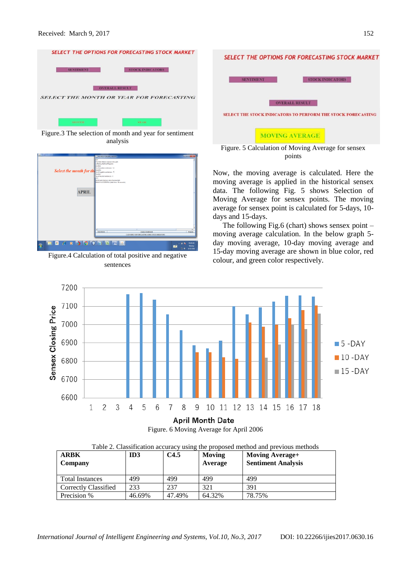

Figure.3 The selection of month and year for sentiment analysis



Figure.4 Calculation of total positive and negative sentences





Now, the moving average is calculated. Here the moving average is applied in the historical sensex data. The following Fig. 5 shows Selection of Moving Average for sensex points. The moving average for sensex point is calculated for 5-days, 10 days and 15-days.

The following Fig.6 (chart) shows sensex point  $$ moving average calculation. In the below graph 5 day moving average, 10-day moving average and 15-day moving average are shown in blue color, red colour, and green color respectively.



Figure. 6 Moving Average for April 2006

| <b>ARBK</b><br>Company | ID3    | C <sub>4.5</sub> | Moving<br>Average | <b>Moving Average+</b><br><b>Sentiment Analysis</b> |
|------------------------|--------|------------------|-------------------|-----------------------------------------------------|
| <b>Total Instances</b> | 499    | 499              | 499               | 499                                                 |
| Correctly Classified   | 233    | 237              | 321               | 391                                                 |
| Precision %            | 46.69% | 47.49%           | 64.32%            | 78.75%                                              |

Table 2. Classification accuracy using the proposed method and previous methods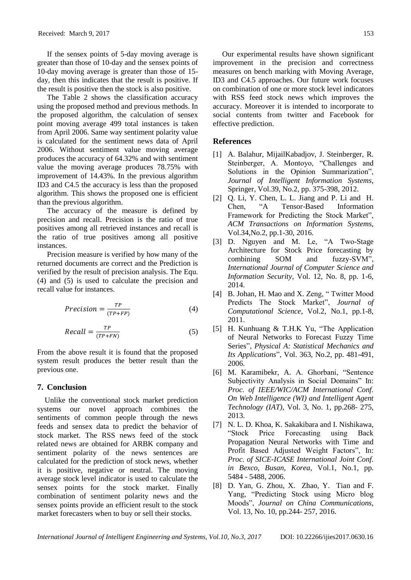If the sensex points of 5-day moving average is greater than those of 10-day and the sensex points of 10-day moving average is greater than those of 15 day, then this indicates that the result is positive. If the result is positive then the stock is also positive.

The Table 2 shows the classification accuracy using the proposed method and previous methods. In the proposed algorithm, the calculation of sensex point moving average 499 total instances is taken from April 2006. Same way sentiment polarity value is calculated for the sentiment news data of April 2006. Without sentiment value moving average produces the accuracy of 64.32% and with sentiment value the moving average produces 78.75% with improvement of 14.43%. In the previous algorithm ID3 and C4.5 the accuracy is less than the proposed algorithm. This shows the proposed one is efficient than the previous algorithm.

The accuracy of the measure is defined by precision and recall. Precision is the ratio of true positives among all retrieved instances and recall is the ratio of true positives among all positive instances.

Precision measure is verified by how many of the returned documents are correct and the Prediction is verified by the result of precision analysis. The Equ. (4) and (5) is used to calculate the precision and recall value for instances.

$$
Precision = \frac{TP}{(TP + FP)}
$$
 (4)

$$
Recall = \frac{TP}{(TP+FN)}
$$
 (5)

From the above result it is found that the proposed system result produces the better result than the previous one.

## **7. Conclusion**

Unlike the conventional stock market prediction systems our novel approach combines the sentiments of common people through the news feeds and sensex data to predict the behavior of stock market. The RSS news feed of the stock related news are obtained for ARBK company and sentiment polarity of the news sentences are calculated for the prediction of stock news, whether it is positive, negative or neutral. The moving average stock level indicator is used to calculate the sensex points for the stock market. Finally combination of sentiment polarity news and the sensex points provide an efficient result to the stock market forecasters when to buy or sell their stocks.

Our experimental results have shown significant improvement in the precision and correctness measures on bench marking with Moving Average, ID3 and C4.5 approaches. Our future work focuses on combination of one or more stock level indicators with RSS feed stock news which improves the accuracy. Moreover it is intended to incorporate to social contents from twitter and Facebook for effective prediction.

### **References**

- [1] A. Balahur, MijailKabadjov, J. Steinberger, R. Steinberger, A. Montoyo, "Challenges and Solutions in the Opinion Summarization", *Journal of Intelligent Information Systems*, Springer, Vol.39, No.2, pp. 375-398, 2012.
- [2] Q. Li, Y. Chen, L. L. Jiang and P. Li and H. Chen, "A Tensor-Based Information Framework for Predicting the Stock Market", *ACM Transactions on Information Systems*, Vol.34,No.2, pp.1-30, 2016.
- [3] D. Nguyen and M. Le, "A Two-Stage Architecture for Stock Price forecasting by combining SOM and fuzzy-SVM", *International Journal of Computer Science and Information Security*, Vol. 12, No. 8, pp. 1-6, 2014.
- [4] B. Johan, H. Mao and X. Zeng, " Twitter Mood Predicts The Stock Market", *Journal of Computational Science*, Vol.2, No.1, pp.1-8, 2011.
- [5] H. Kunhuang & T.H.K Yu, "The Application of Neural Networks to Forecast Fuzzy Time Series", *Physical A: Statistical Mechanics and Its Applications*", Vol. 363, No.2, pp. 481-491, 2006.
- [6] M. Karamibekr, A. A. Ghorbani, "Sentence Subjectivity Analysis in Social Domains" In: *Proc. of IEEE/WIC/ACM International Conf. On Web Intelligence (WI) and Intelligent Agent Technology (IAT)*, Vol. 3, No. 1, pp.268- 275, 2013.
- [7] N. L. D. Khoa, K. Sakakibara and I. Nishikawa, "Stock Price Forecasting using Back Propagation Neural Networks with Time and Profit Based Adjusted Weight Factors", In: *Proc. of SICE-ICASE International Joint Conf. in Bexco, Busan, Korea*, Vol.1, No.1, pp. 5484 - 5488, 2006.
- [8] D. Yan, G. Zhou, X. Zhao, Y. Tian and F. Yang, "Predicting Stock using Micro blog Moods", *Journal on China Communications*, Vol. 13, No. 10, pp.244- 257, 2016.